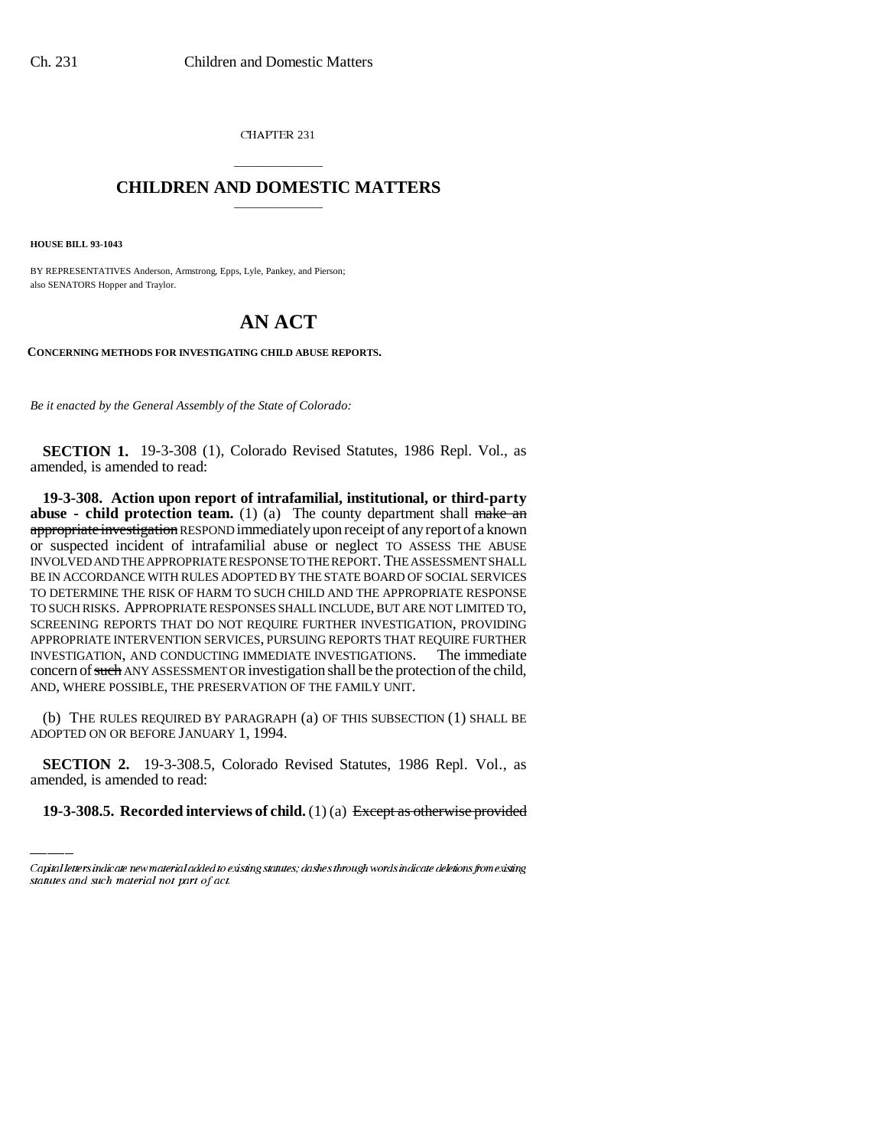CHAPTER 231

## \_\_\_\_\_\_\_\_\_\_\_\_\_\_\_ **CHILDREN AND DOMESTIC MATTERS** \_\_\_\_\_\_\_\_\_\_\_\_\_\_\_

**HOUSE BILL 93-1043**

BY REPRESENTATIVES Anderson, Armstrong, Epps, Lyle, Pankey, and Pierson; also SENATORS Hopper and Traylor.

## **AN ACT**

**CONCERNING METHODS FOR INVESTIGATING CHILD ABUSE REPORTS.**

*Be it enacted by the General Assembly of the State of Colorado:*

**SECTION 1.** 19-3-308 (1), Colorado Revised Statutes, 1986 Repl. Vol., as amended, is amended to read:

**19-3-308. Action upon report of intrafamilial, institutional, or third-party abuse - child protection team.** (1) (a) The county department shall make an appropriate investigation RESPOND immediately upon receipt of any report of a known or suspected incident of intrafamilial abuse or neglect TO ASSESS THE ABUSE INVOLVED AND THE APPROPRIATE RESPONSE TO THE REPORT. THE ASSESSMENT SHALL BE IN ACCORDANCE WITH RULES ADOPTED BY THE STATE BOARD OF SOCIAL SERVICES TO DETERMINE THE RISK OF HARM TO SUCH CHILD AND THE APPROPRIATE RESPONSE TO SUCH RISKS. APPROPRIATE RESPONSES SHALL INCLUDE, BUT ARE NOT LIMITED TO, SCREENING REPORTS THAT DO NOT REQUIRE FURTHER INVESTIGATION, PROVIDING APPROPRIATE INTERVENTION SERVICES, PURSUING REPORTS THAT REQUIRE FURTHER INVESTIGATION, AND CONDUCTING IMMEDIATE INVESTIGATIONS. The immediate concern of such ANY ASSESSMENT OR investigation shall be the protection of the child, AND, WHERE POSSIBLE, THE PRESERVATION OF THE FAMILY UNIT.

ADOPTED ON OR BEFORE JANUARY 1, 1994. (b) THE RULES REQUIRED BY PARAGRAPH (a) OF THIS SUBSECTION (1) SHALL BE

**SECTION 2.** 19-3-308.5, Colorado Revised Statutes, 1986 Repl. Vol., as amended, is amended to read:

**19-3-308.5. Recorded interviews of child.** (1) (a) Except as otherwise provided

Capital letters indicate new material added to existing statutes; dashes through words indicate deletions from existing statutes and such material not part of act.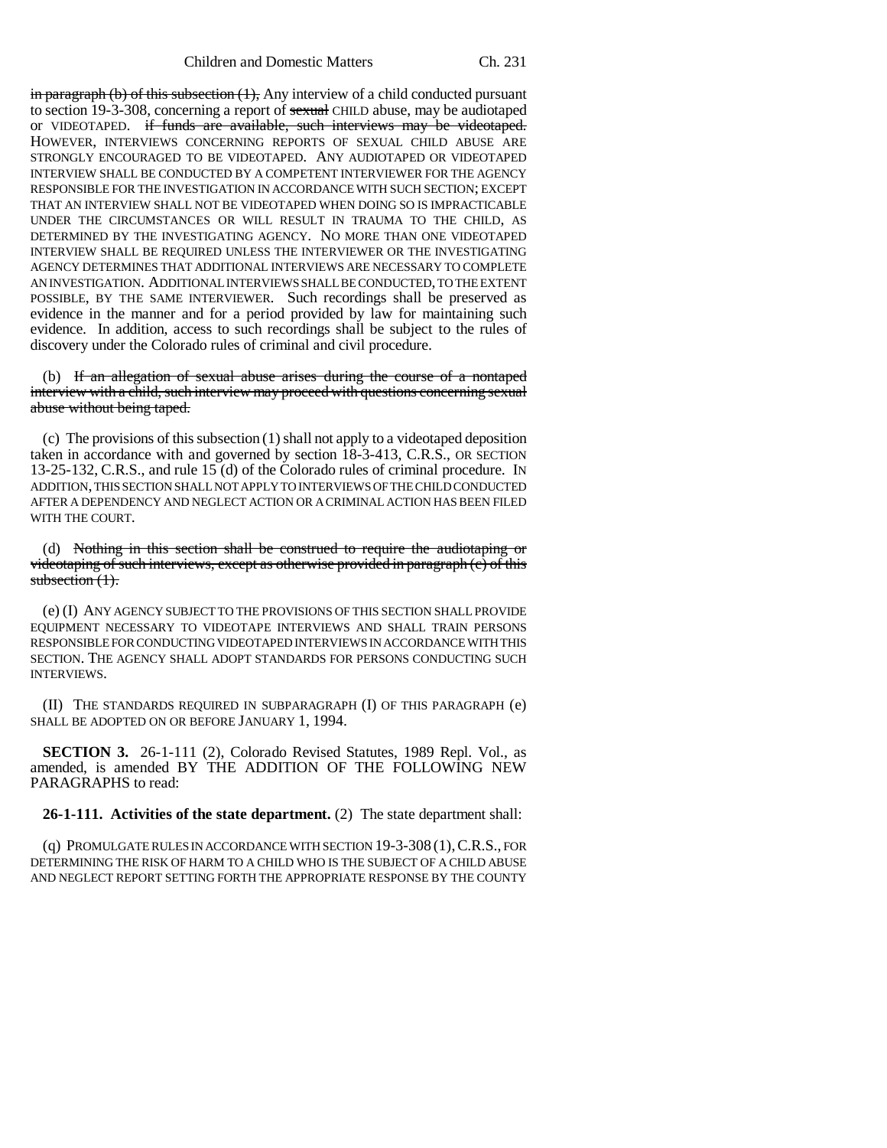in paragraph (b) of this subsection  $(1)$ , Any interview of a child conducted pursuant to section 19-3-308, concerning a report of sexual CHILD abuse, may be audiotaped or VIDEOTAPED. if funds are available, such interviews may be videotaped. HOWEVER, INTERVIEWS CONCERNING REPORTS OF SEXUAL CHILD ABUSE ARE STRONGLY ENCOURAGED TO BE VIDEOTAPED. ANY AUDIOTAPED OR VIDEOTAPED INTERVIEW SHALL BE CONDUCTED BY A COMPETENT INTERVIEWER FOR THE AGENCY RESPONSIBLE FOR THE INVESTIGATION IN ACCORDANCE WITH SUCH SECTION; EXCEPT THAT AN INTERVIEW SHALL NOT BE VIDEOTAPED WHEN DOING SO IS IMPRACTICABLE UNDER THE CIRCUMSTANCES OR WILL RESULT IN TRAUMA TO THE CHILD, AS DETERMINED BY THE INVESTIGATING AGENCY. NO MORE THAN ONE VIDEOTAPED INTERVIEW SHALL BE REQUIRED UNLESS THE INTERVIEWER OR THE INVESTIGATING AGENCY DETERMINES THAT ADDITIONAL INTERVIEWS ARE NECESSARY TO COMPLETE AN INVESTIGATION. ADDITIONAL INTERVIEWS SHALL BE CONDUCTED, TO THE EXTENT POSSIBLE, BY THE SAME INTERVIEWER. Such recordings shall be preserved as evidence in the manner and for a period provided by law for maintaining such evidence. In addition, access to such recordings shall be subject to the rules of discovery under the Colorado rules of criminal and civil procedure.

(b) If an allegation of sexual abuse arises during the course of a nontaped interview with a child, such interview may proceed with questions concerning sexual abuse without being taped.

(c) The provisions of this subsection (1) shall not apply to a videotaped deposition taken in accordance with and governed by section  $\overline{18}$ -3-413, C.R.S., OR SECTION 13-25-132, C.R.S., and rule 15 (d) of the Colorado rules of criminal procedure. IN ADDITION, THIS SECTION SHALL NOT APPLY TO INTERVIEWS OF THE CHILD CONDUCTED AFTER A DEPENDENCY AND NEGLECT ACTION OR A CRIMINAL ACTION HAS BEEN FILED WITH THE COURT.

(d) Nothing in this section shall be construed to require the audiotaping or videotaping of such interviews, except as otherwise provided in paragraph (c) of this subsection (1).

(e) (I) ANY AGENCY SUBJECT TO THE PROVISIONS OF THIS SECTION SHALL PROVIDE EQUIPMENT NECESSARY TO VIDEOTAPE INTERVIEWS AND SHALL TRAIN PERSONS RESPONSIBLE FOR CONDUCTING VIDEOTAPED INTERVIEWS IN ACCORDANCE WITH THIS SECTION. THE AGENCY SHALL ADOPT STANDARDS FOR PERSONS CONDUCTING SUCH INTERVIEWS.

(II) THE STANDARDS REQUIRED IN SUBPARAGRAPH (I) OF THIS PARAGRAPH (e) SHALL BE ADOPTED ON OR BEFORE JANUARY 1, 1994.

**SECTION 3.** 26-1-111 (2), Colorado Revised Statutes, 1989 Repl. Vol., as amended, is amended BY THE ADDITION OF THE FOLLOWING NEW PARAGRAPHS to read:

**26-1-111. Activities of the state department.** (2) The state department shall:

(q) PROMULGATE RULES IN ACCORDANCE WITH SECTION 19-3-308 (1),C.R.S., FOR DETERMINING THE RISK OF HARM TO A CHILD WHO IS THE SUBJECT OF A CHILD ABUSE AND NEGLECT REPORT SETTING FORTH THE APPROPRIATE RESPONSE BY THE COUNTY